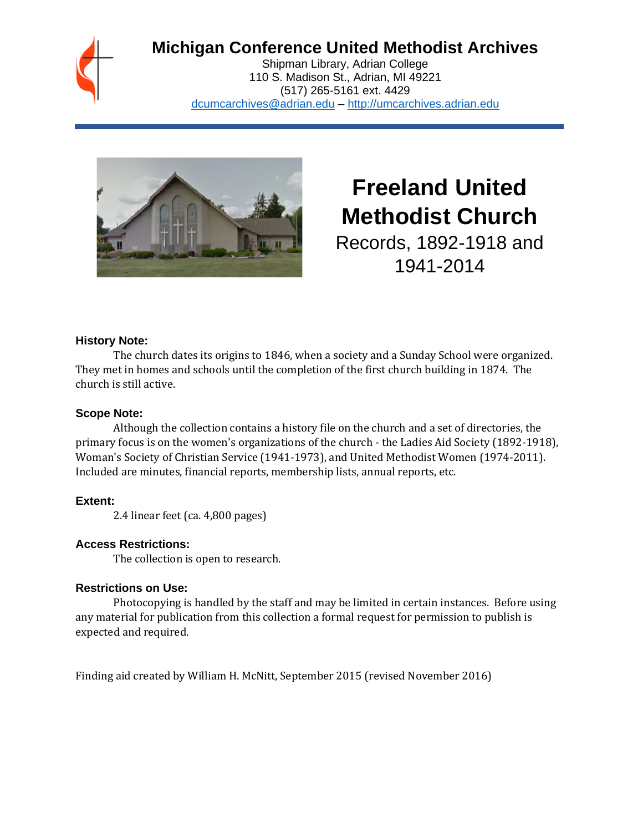## **Michigan Conference United Methodist Archives**

Shipman Library, Adrian College 110 S. Madison St., Adrian, MI 49221 (517) 265-5161 ext. 4429 [dcumcarchives@adrian.edu](mailto:dcumcarchives@adrian.edu) – [http://umcarchives.adrian.edu](http://umcarchives.adrian.edu/)



# **Freeland United Methodist Church**

Records, 1892-1918 and 1941-2014

#### **History Note:**

The church dates its origins to 1846, when a society and a Sunday School were organized. They met in homes and schools until the completion of the first church building in 1874. The church is still active.

#### **Scope Note:**

Although the collection contains a history file on the church and a set of directories, the primary focus is on the women's organizations of the church - the Ladies Aid Society (1892-1918), Woman's Society of Christian Service (1941-1973), and United Methodist Women (1974-2011). Included are minutes, financial reports, membership lists, annual reports, etc.

### **Extent:**

2.4 linear feet (ca. 4,800 pages)

#### **Access Restrictions:**

The collection is open to research.

#### **Restrictions on Use:**

Photocopying is handled by the staff and may be limited in certain instances. Before using any material for publication from this collection a formal request for permission to publish is expected and required.

Finding aid created by William H. McNitt, September 2015 (revised November 2016)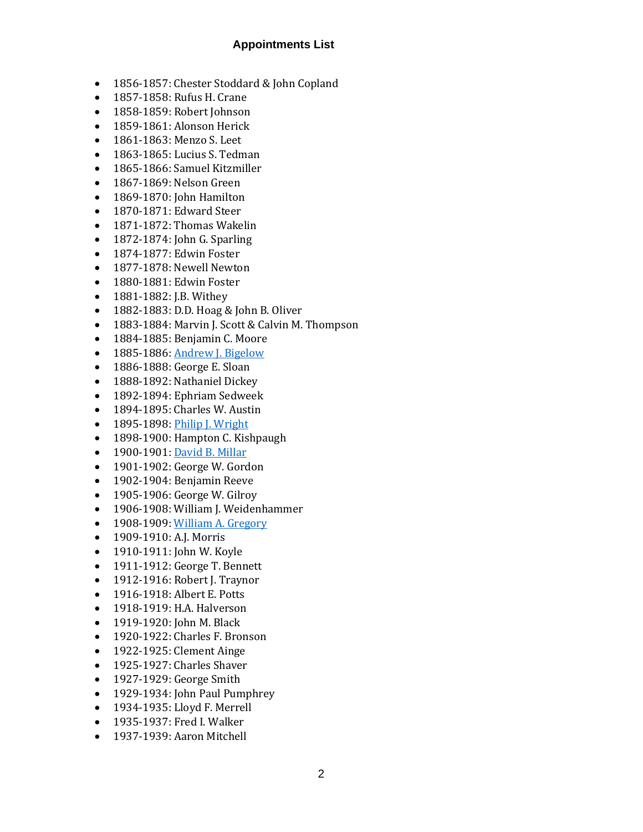#### **Appointments List**

- 1856-1857: Chester Stoddard & John Copland
- 1857-1858: Rufus H. Crane
- 1858-1859: Robert Johnson
- 1859-1861: Alonson Herick
- 1861-1863: Menzo S. Leet
- 1863-1865: Lucius S. Tedman
- 1865-1866: Samuel Kitzmiller
- 1867-1869: Nelson Green
- 1869-1870: John Hamilton
- 1870-1871: Edward Steer
- 1871-1872: Thomas Wakelin
- 1872-1874: John G. Sparling
- 1874-1877: Edwin Foster
- 1877-1878: Newell Newton
- 1880-1881: Edwin Foster
- 1881-1882: J.B. Withey
- 1882-1883: D.D. Hoag & John B. Oliver
- 1883-1884: Marvin J. Scott & Calvin M. Thompson
- 1884-1885: Benjamin C. Moore
- 1885-1886[: Andrew J. Bigelow](http://umcarchives.adrian.edu/clergy/bigelowaj.php)
- 1886-1888: George E. Sloan
- 1888-1892: Nathaniel Dickey
- 1892-1894: Ephriam Sedweek
- 1894-1895: Charles W. Austin
- 1895-1898[: Philip J. Wright](http://umcarchives.adrian.edu/clergy/wrightpj.php)
- 1898-1900: Hampton C. Kishpaugh
- 1900-1901[: David B. Millar](http://umcarchives.adrian.edu/clergy/millardb.php)
- 1901-1902: George W. Gordon
- 1902-1904: Benjamin Reeve
- 1905-1906: George W. Gilroy
- 1906-1908: William J. Weidenhammer
- 1908-1909[: William A. Gregory](http://umcarchives.adrian.edu/clergy/gregorywa.php)
- 1909-1910: A.J. Morris
- 1910-1911: John W. Koyle
- 1911-1912: George T. Bennett
- 1912-1916: Robert J. Traynor
- 1916-1918: Albert E. Potts
- 1918-1919: H.A. Halverson
- 1919-1920: John M. Black
- 1920-1922: Charles F. Bronson
- 1922-1925: Clement Ainge
- 1925-1927: Charles Shaver
- 1927-1929: George Smith
- 1929-1934: John Paul Pumphrey
- 1934-1935: Lloyd F. Merrell
- 1935-1937: Fred I. Walker
- 1937-1939: Aaron Mitchell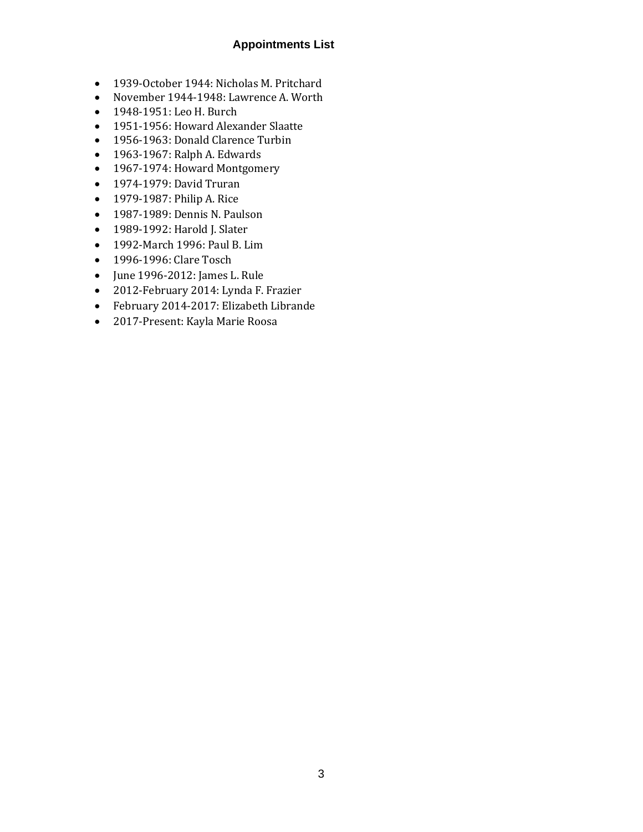#### **Appointments List**

- 1939-October 1944: Nicholas M. Pritchard
- November 1944-1948: Lawrence A. Worth
- 1948-1951: Leo H. Burch
- 1951-1956: Howard Alexander Slaatte
- 1956-1963: Donald Clarence Turbin
- 1963-1967: Ralph A. Edwards
- 1967-1974: Howard Montgomery
- 1974-1979: David Truran
- 1979-1987: Philip A. Rice
- 1987-1989: Dennis N. Paulson
- 1989-1992: Harold J. Slater
- 1992-March 1996: Paul B. Lim
- 1996-1996: Clare Tosch
- June 1996-2012: James L. Rule
- 2012-February 2014: Lynda F. Frazier
- February 2014-2017: Elizabeth Librande
- 2017-Present: Kayla Marie Roosa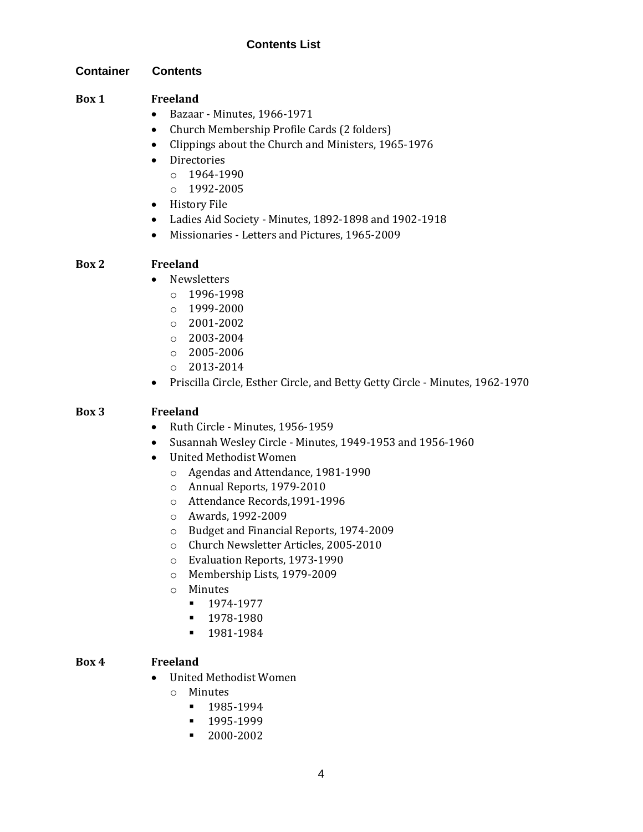#### **Contents List**

#### **Container Contents**

#### **Box 1 Freeland**

- Bazaar Minutes, 1966-1971
- Church Membership Profile Cards (2 folders)
- Clippings about the Church and Ministers, 1965-1976
- Directories
	- o 1964-1990
	- o 1992-2005
- History File
- Ladies Aid Society Minutes, 1892-1898 and 1902-1918
- Missionaries Letters and Pictures, 1965-2009

#### **Box 2 Freeland**

- Newsletters
	- o 1996-1998
	- o 1999-2000
	- o 2001-2002
	- $\circ$  2003-2004
	- o 2005-2006
	- o 2013-2014
- Priscilla Circle, Esther Circle, and Betty Getty Circle Minutes, 1962-1970

#### **Box 3 Freeland**

- Ruth Circle Minutes, 1956-1959
- Susannah Wesley Circle Minutes, 1949-1953 and 1956-1960
- United Methodist Women
	- o Agendas and Attendance, 1981-1990
	- o Annual Reports, 1979-2010
	- o Attendance Records,1991-1996
	- o Awards, 1992-2009
	- o Budget and Financial Reports, 1974-2009
	- o Church Newsletter Articles, 2005-2010
	- o Evaluation Reports, 1973-1990
	- o Membership Lists, 1979-2009
	- o Minutes
		- 1974-1977
		- **•** 1978-1980
		- 1981-1984

#### **Box 4 Freeland**

- United Methodist Women
	- o Minutes
		- 1985-1994
		- 1995-1999
		- 2000-2002